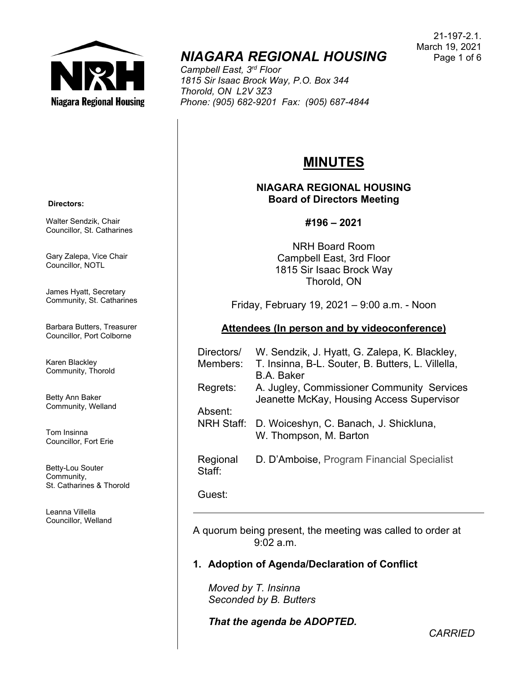

# *NIAGARA REGIONAL HOUSING*

*Campbell East, 3rd Floor 1815 Sir Isaac Brock Way, P.O. Box 344 Thorold, ON L2V 3Z3 Phone: (905) 682-9201 Fax: (905) 687-4844*

#### 21-197-2.1. March 19, 2021 Page 1 of 6

# **MINUTES**

## **NIAGARA REGIONAL HOUSING Board of Directors Meeting**

## **#196 – 2021**

NRH Board Room Campbell East, 3rd Floor 1815 Sir Isaac Brock Way Thorold, ON

Friday, February 19, 2021 – 9:00 a.m. - Noon

## **Attendees (In person and by videoconference)**

| Directors/<br>Members: | W. Sendzik, J. Hyatt, G. Zalepa, K. Blackley,<br>T. Insinna, B-L. Souter, B. Butters, L. Villella, |
|------------------------|----------------------------------------------------------------------------------------------------|
|                        | <b>B.A. Baker</b>                                                                                  |
| Regrets:               | A. Jugley, Commissioner Community Services<br>Jeanette McKay, Housing Access Supervisor            |
| Absent:                |                                                                                                    |
| <b>NRH Staff:</b>      | D. Woiceshyn, C. Banach, J. Shickluna,<br>W. Thompson, M. Barton                                   |
| Regional<br>Staff:     | D. D'Amboise, Program Financial Specialist                                                         |

Guest:

A quorum being present, the meeting was called to order at  $9.02 a m$ 

# **1. Adoption of Agenda/Declaration of Conflict**

*Moved by T. Insinna Seconded by B. Butters*

*That the agenda be ADOPTED.*

**Directors:**

Walter Sendzik, Chair Councillor, St. Catharines

Gary Zalepa, Vice Chair Councillor, NOTL

James Hyatt, Secretary Community, St. Catharines

Barbara Butters, Treasurer Councillor, Port Colborne

Karen Blackley Community, Thorold

Betty Ann Baker Community, Welland

Tom Insinna Councillor, Fort Erie

Betty-Lou Souter Community, St. Catharines & Thorold

Leanna Villella Councillor, Welland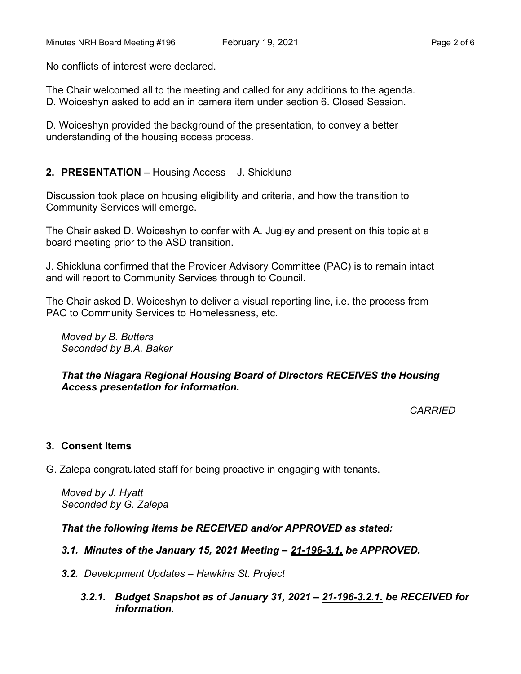No conflicts of interest were declared.

The Chair welcomed all to the meeting and called for any additions to the agenda. D. Woiceshyn asked to add an in camera item under section 6. Closed Session.

D. Woiceshyn provided the background of the presentation, to convey a better understanding of the housing access process.

### **2. PRESENTATION –** Housing Access – J. Shickluna

Discussion took place on housing eligibility and criteria, and how the transition to Community Services will emerge.

The Chair asked D. Woiceshyn to confer with A. Jugley and present on this topic at a board meeting prior to the ASD transition.

J. Shickluna confirmed that the Provider Advisory Committee (PAC) is to remain intact and will report to Community Services through to Council.

The Chair asked D. Woiceshyn to deliver a visual reporting line, i.e. the process from PAC to Community Services to Homelessness, etc.

*Moved by B. Butters Seconded by B.A. Baker*

#### *That the Niagara Regional Housing Board of Directors RECEIVES the Housing Access presentation for information.*

*CARRIED*

## **3. Consent Items**

G. Zalepa congratulated staff for being proactive in engaging with tenants.

*Moved by J. Hyatt Seconded by G. Zalepa*

*That the following items be RECEIVED and/or APPROVED as stated:*

*3.1. Minutes of the January 15, 2021 Meeting – 21-196-3.1. be APPROVED.*

- *3.2. Development Updates – Hawkins St. Project*
	- *3.2.1. Budget Snapshot as of January 31, 2021 – 21-196-3.2.1. be RECEIVED for information.*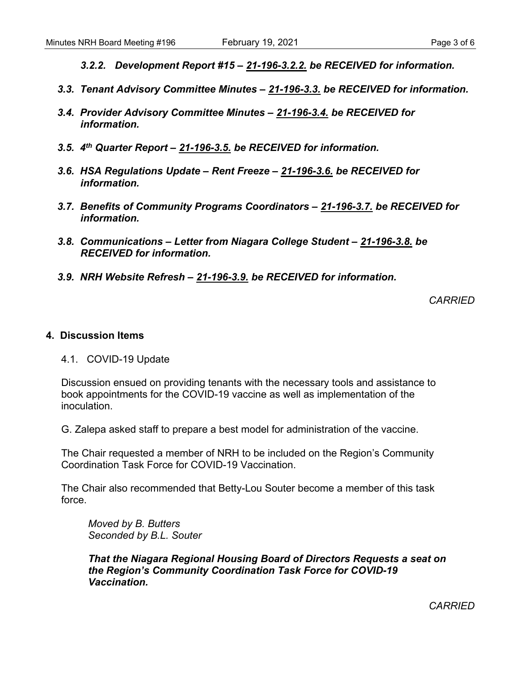- *3.2.2. Development Report #15 – 21-196-3.2.2. be RECEIVED for information.*
- *3.3. Tenant Advisory Committee Minutes – 21-196-3.3. be RECEIVED for information.*
- *3.4. Provider Advisory Committee Minutes – 21-196-3.4. be RECEIVED for information.*
- *3.5. 4th Quarter Report – 21-196-3.5. be RECEIVED for information.*
- *3.6. HSA Regulations Update – Rent Freeze – 21-196-3.6. be RECEIVED for information.*
- *3.7. Benefits of Community Programs Coordinators – 21-196-3.7. be RECEIVED for information.*
- *3.8. Communications – Letter from Niagara College Student – 21-196-3.8. be RECEIVED for information.*
- *3.9. NRH Website Refresh – 21-196-3.9. be RECEIVED for information.*

*CARRIED*

#### **4. Discussion Items**

4.1. COVID-19 Update

Discussion ensued on providing tenants with the necessary tools and assistance to book appointments for the COVID-19 vaccine as well as implementation of the inoculation.

G. Zalepa asked staff to prepare a best model for administration of the vaccine.

The Chair requested a member of NRH to be included on the Region's Community Coordination Task Force for COVID-19 Vaccination.

The Chair also recommended that Betty-Lou Souter become a member of this task force.

*Moved by B. Butters Seconded by B.L. Souter*

*That the Niagara Regional Housing Board of Directors Requests a seat on the Region's Community Coordination Task Force for COVID-19 Vaccination.*

*CARRIED*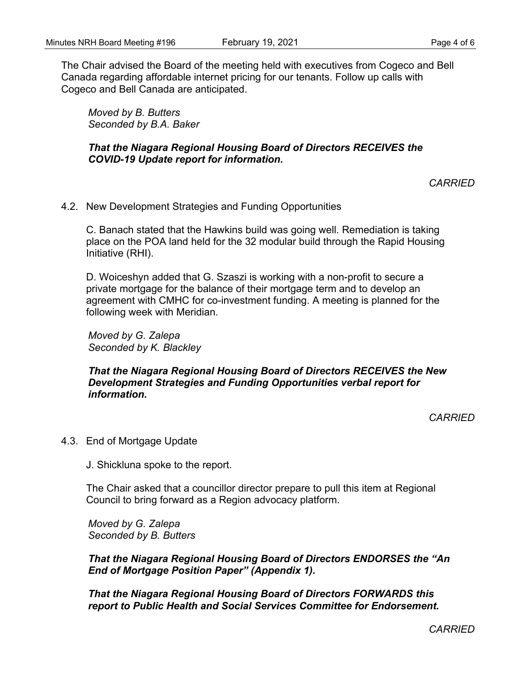The Chair advised the Board of the meeting held with executives from Cogeco and Bell Canada regarding affordable internet pricing for our tenants. Follow up calls with Cogeco and Bell Canada are anticipated.

*Moved by B. Butters Seconded by B.A. Baker*

*That the Niagara Regional Housing Board of Directors RECEIVES the COVID-19 Update report for information.*

*CARRIED*

4.2. New Development Strategies and Funding Opportunities

C. Banach stated that the Hawkins build was going well. Remediation is taking place on the POA land held for the 32 modular build through the Rapid Housing Initiative (RHI).

D. Woiceshyn added that G. Szaszi is working with a non-profit to secure a private mortgage for the balance of their mortgage term and to develop an agreement with CMHC for co-investment funding. A meeting is planned for the following week with Meridian.

*Moved by G. Zalepa Seconded by K. Blackley*

*That the Niagara Regional Housing Board of Directors RECEIVES the New Development Strategies and Funding Opportunities verbal report for information.*

*CARRIED*

4.3. End of Mortgage Update

J. Shickluna spoke to the report.

The Chair asked that a councillor director prepare to pull this item at Regional Council to bring forward as a Region advocacy platform.

*Moved by G. Zalepa Seconded by B. Butters*

*That the Niagara Regional Housing Board of Directors ENDORSES the "An End of Mortgage Position Paper" (Appendix 1).* 

*That the Niagara Regional Housing Board of Directors FORWARDS this report to Public Health and Social Services Committee for Endorsement.*

*CARRIED*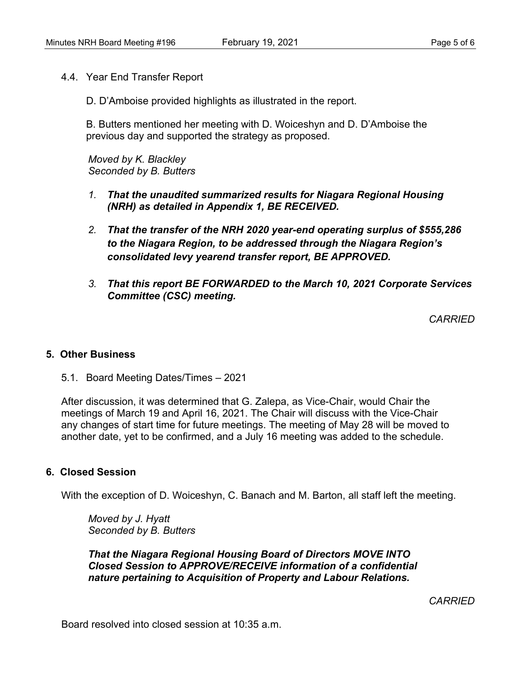4.4. Year End Transfer Report

D. D'Amboise provided highlights as illustrated in the report.

B. Butters mentioned her meeting with D. Woiceshyn and D. D'Amboise the previous day and supported the strategy as proposed.

*Moved by K. Blackley Seconded by B. Butters*

- *1. That the unaudited summarized results for Niagara Regional Housing (NRH) as detailed in Appendix 1, BE RECEIVED.*
- *2. That the transfer of the NRH 2020 year-end operating surplus of \$555,286 to the Niagara Region, to be addressed through the Niagara Region's consolidated levy yearend transfer report, BE APPROVED.*
- *3. That this report BE FORWARDED to the March 10, 2021 Corporate Services Committee (CSC) meeting.*

*CARRIED*

#### **5. Other Business**

5.1. Board Meeting Dates/Times – 2021

After discussion, it was determined that G. Zalepa, as Vice-Chair, would Chair the meetings of March 19 and April 16, 2021. The Chair will discuss with the Vice-Chair any changes of start time for future meetings. The meeting of May 28 will be moved to another date, yet to be confirmed, and a July 16 meeting was added to the schedule.

## **6. Closed Session**

With the exception of D. Woiceshyn, C. Banach and M. Barton, all staff left the meeting.

*Moved by J. Hyatt Seconded by B. Butters*

*That the Niagara Regional Housing Board of Directors MOVE INTO Closed Session to APPROVE/RECEIVE information of a confidential nature pertaining to Acquisition of Property and Labour Relations.*

*CARRIED*